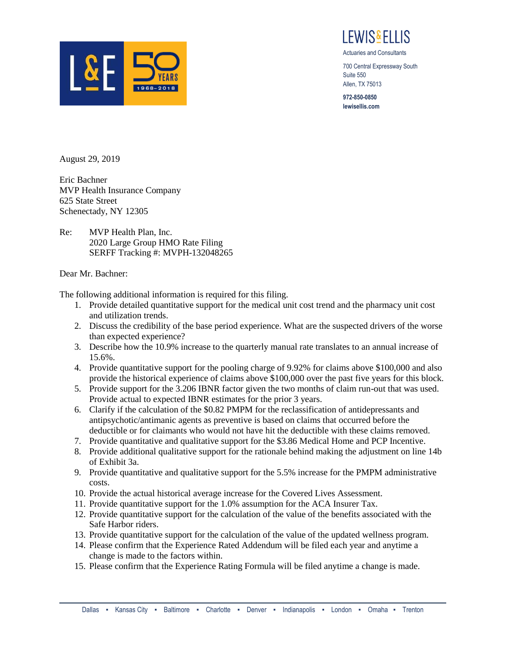

I FWIS&FI LIS

Actuaries and Consultants

700 Central Expressway South Suite 550 Allen, TX 75013

**972-850-0850 lewisellis.com**

August 29, 2019

Eric Bachner MVP Health Insurance Company 625 State Street Schenectady, NY 12305

Re: MVP Health Plan, Inc. 2020 Large Group HMO Rate Filing SERFF Tracking #: MVPH-132048265

## Dear Mr. Bachner:

The following additional information is required for this filing.

- 1. Provide detailed quantitative support for the medical unit cost trend and the pharmacy unit cost and utilization trends.
- 2. Discuss the credibility of the base period experience. What are the suspected drivers of the worse than expected experience?
- 3. Describe how the 10.9% increase to the quarterly manual rate translates to an annual increase of 15.6%.
- 4. Provide quantitative support for the pooling charge of 9.92% for claims above \$100,000 and also provide the historical experience of claims above \$100,000 over the past five years for this block.
- 5. Provide support for the 3.206 IBNR factor given the two months of claim run-out that was used. Provide actual to expected IBNR estimates for the prior 3 years.
- 6. Clarify if the calculation of the \$0.82 PMPM for the reclassification of antidepressants and antipsychotic/antimanic agents as preventive is based on claims that occurred before the deductible or for claimants who would not have hit the deductible with these claims removed.
- 7. Provide quantitative and qualitative support for the \$3.86 Medical Home and PCP Incentive.
- 8. Provide additional qualitative support for the rationale behind making the adjustment on line 14b of Exhibit 3a.
- 9. Provide quantitative and qualitative support for the 5.5% increase for the PMPM administrative costs.
- 10. Provide the actual historical average increase for the Covered Lives Assessment.
- 11. Provide quantitative support for the 1.0% assumption for the ACA Insurer Tax.
- 12. Provide quantitative support for the calculation of the value of the benefits associated with the Safe Harbor riders.
- 13. Provide quantitative support for the calculation of the value of the updated wellness program.
- 14. Please confirm that the Experience Rated Addendum will be filed each year and anytime a change is made to the factors within.
- 15. Please confirm that the Experience Rating Formula will be filed anytime a change is made.